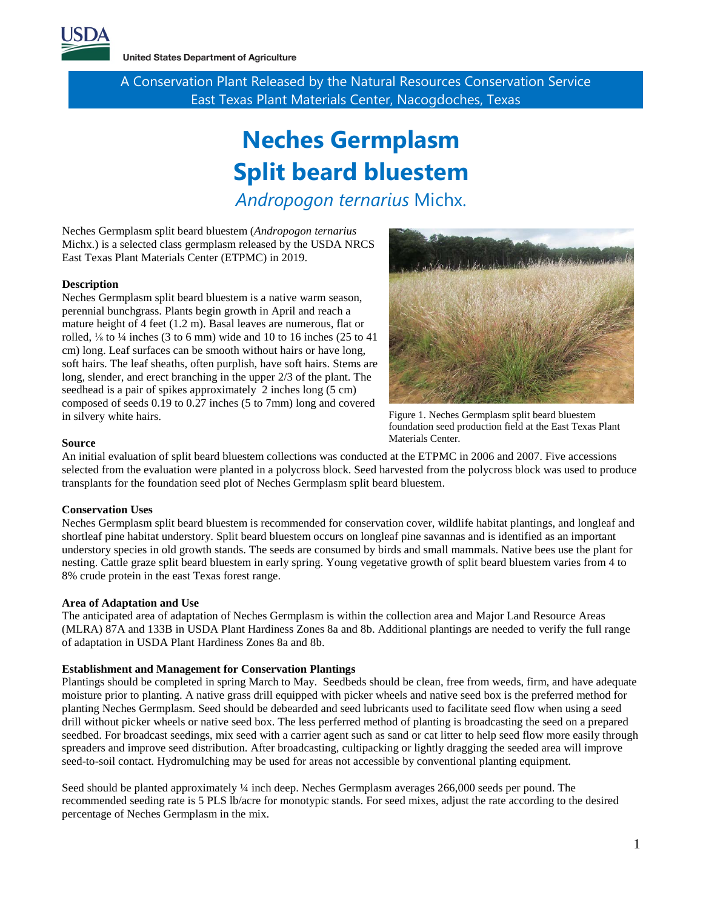

**United States Department of Agriculture** 

A Conservation Plant Released by the Natural Resources Conservation Service East Texas Plant Materials Center, Nacogdoches, Texas

# **Neches Germplasm Split beard bluestem**

*Andropogon ternarius* Michx.

Neches Germplasm split beard bluestem (*Andropogon ternarius* Michx.) is a selected class germplasm released by the USDA NRCS East Texas Plant Materials Center (ETPMC) in 2019.

## **Description**

Neches Germplasm split beard bluestem is a native warm season, perennial bunchgrass. Plants begin growth in April and reach a mature height of 4 feet (1.2 m). Basal leaves are numerous, flat or rolled,  $\frac{1}{8}$  to  $\frac{1}{4}$  inches (3 to 6 mm) wide and 10 to 16 inches (25 to 41 cm) long. Leaf surfaces can be smooth without hairs or have long, soft hairs. The leaf sheaths, often purplish, have soft hairs. Stems are long, slender, and erect branching in the upper 2/3 of the plant. The seedhead is a pair of spikes approximately 2 inches long (5 cm) composed of seeds 0.19 to 0.27 inches (5 to 7mm) long and covered in silvery white hairs.



Figure 1. Neches Germplasm split beard bluestem foundation seed production field at the East Texas Plant Materials Center.

#### **Source**

An initial evaluation of split beard bluestem collections was conducted at the ETPMC in 2006 and 2007. Five accessions selected from the evaluation were planted in a polycross block. Seed harvested from the polycross block was used to produce transplants for the foundation seed plot of Neches Germplasm split beard bluestem.

#### **Conservation Uses**

Neches Germplasm split beard bluestem is recommended for conservation cover, wildlife habitat plantings, and longleaf and shortleaf pine habitat understory. Split beard bluestem occurs on longleaf pine savannas and is identified as an important understory species in old growth stands. The seeds are consumed by birds and small mammals. Native bees use the plant for nesting. Cattle graze split beard bluestem in early spring. Young vegetative growth of split beard bluestem varies from 4 to 8% crude protein in the east Texas forest range.

#### **Area of Adaptation and Use**

The anticipated area of adaptation of Neches Germplasm is within the collection area and Major Land Resource Areas (MLRA) 87A and 133B in USDA Plant Hardiness Zones 8a and 8b. Additional plantings are needed to verify the full range of adaptation in USDA Plant Hardiness Zones 8a and 8b.

# <span id="page-0-0"></span>**Establishment and Management for Conservation Plantings**

Plantings should [be completed in spring March to May. Seedbeds should be clean, free from weeds, firm, and have adequate](#page-0-0)  moisture prior to planting. A [native grass drill equipped with picker wheels and native seed box](#page-0-0) is the preferred method for planting Neches Germplasm. [Seed should be debearded and seed lubricants used to facilitate seed flow when using a seed](#page-0-0)  drill without picker wheels or native seed box. [The less perferred method of planting is broadcasting the seed on a prepared](#page-0-0)  seedbed. For broadcast seedings, [mix seed with a carrier agent such as sand or cat litter to help seed flow more easily through](#page-0-0)  [spreaders and improve seed distribution. After broadcasting, cultipacking or lightly dragging the seeded area will improve](#page-0-0)  [seed-to-soil contact. Hydromulching may be used for areas not accessible by conventional planting equipment.](#page-0-0) 

[Seed should be planted approximately ¼ inch deep. Neches](#page-0-0) Germplasm averages 266,000 seeds per pound. The recommended seeding rate is 5 [PLS lb/acre for monotypic stands. For seed mixes, adjust the rate according to the desired](#page-0-0)  [percentage of Neches](#page-0-0) Germplasm in the mix.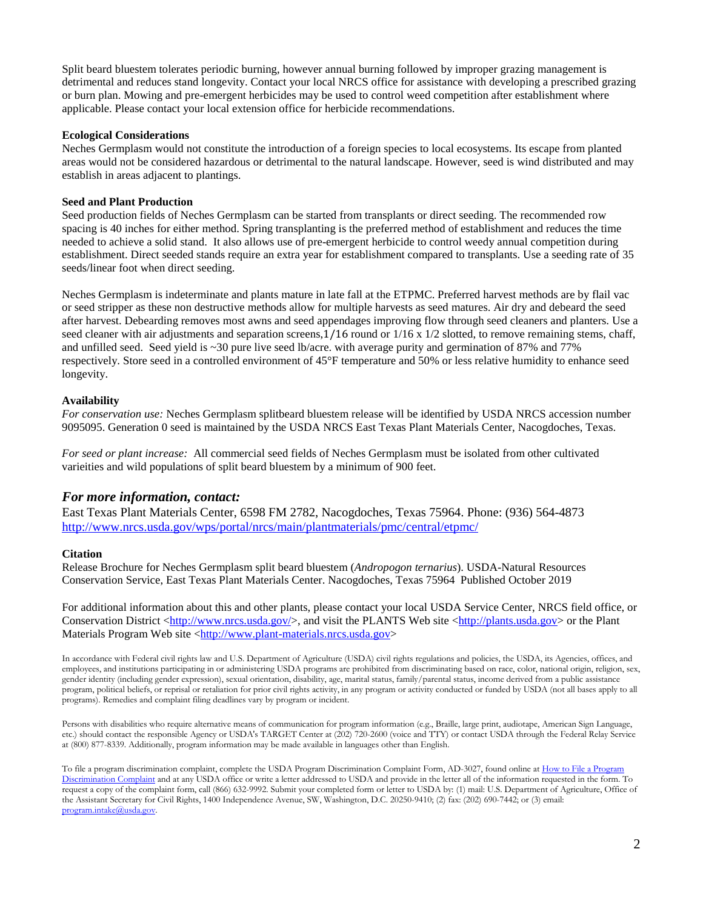Split [beard bluestem tolerates periodic burning, however annual burning followed by improper grazing management is](#page-0-0)  detrimental and reduces stand longevity. [Contact your local NRCS office for assistance with developing a prescribed grazing](#page-0-0)  or [burn plan. Mowing and pre-emergent herbicides may be used to control weed](#page-0-0) competition after establishment where [applicable. Please contact your local extension office for herbicide recommendations.](#page-0-0) 

## **Ecological Considerations**

Neches Germplasm would not constitute the introduction of a foreign species to local ecosystems. Its escape from planted areas would not be considered hazardous or detrimental to the natural landscape. However, seed is wind distributed and may establish in areas adjacent to plantings.

## **Seed and Plant Production**

Seed production fields of Neches Germplasm can be started from transplants or direct seeding. The recommended row spacing is 40 inches for either method. Spring transplanting is the preferred method of establishment and reduces the time needed to achieve a solid stand. It also allows use of pre-emergent herbicide to control weedy annual competition during establishment. Direct seeded stands require an extra year for establishment compared to transplants. Use a seeding rate of 35 seeds/linear foot when direct seeding.

Neches Germplasm is indeterminate and plants mature in late fall at the ETPMC. Preferred harvest methods are by flail vac or seed stripper as these non destructive methods allow for multiple harvests as seed matures. Air dry and debeard the seed after harvest. Debearding removes most awns and seed appendages improving flow through seed cleaners and planters. Use a seed cleaner with air adjustments and separation screens, $1/16$  round or  $1/16$  x  $1/2$  slotted, to remove remaining stems, chaff, and unfilled seed. Seed yield is ~30 pure live seed lb/acre. with average purity and germination of 87% and 77% respectively. Store seed in a controlled environment of 45°F temperature and 50% or less relative humidity to enhance seed longevity.

## **Availability**

*For conservation use:* Neches Germplasm splitbeard bluestem release will be identified by USDA NRCS accession number 9095095. Generation 0 seed is maintained by the USDA NRCS East Texas Plant Materials Center, Nacogdoches, Texas.

*For seed or plant increase:* All commercial seed fields of Neches Germplasm must be isolated from other cultivated varieities and wild populations of split beard bluestem by a minimum of 900 feet.

# *For more information, contact:*

East Texas Plant Materials Center, 6598 FM 2782, Nacogdoches, Texas 75964. Phone: (936) 564-4873 <http://www.nrcs.usda.gov/wps/portal/nrcs/main/plantmaterials/pmc/central/etpmc/>

#### **Citation**

Release Brochure for Neches Germplasm split beard bluestem (*Andropogon ternarius*). USDA-Natural Resources Conservation Service, East Texas Plant Materials Center. Nacogdoches, Texas 75964 Published October 2019

For additional information about this and other plants, please contact your local USDA Service Center, NRCS field office, or Conservation District [<http://www.nrcs.usda.gov/>](http://www.nrcs.usda.gov/), and visit the PLANTS Web site [<http://plants.usda.gov>](http://plants.usda.gov/) or the Plant Materials Program Web site [<http://www.plant-materials.nrcs.usda.gov>](http://www.plant-materials.nrcs.usda.gov/)

In accordance with Federal civil rights law and U.S. Department of Agriculture (USDA) civil rights regulations and policies, the USDA, its Agencies, offices, and employees, and institutions participating in or administering USDA programs are prohibited from discriminating based on race, color, national origin, religion, sex, gender identity (including gender expression), sexual orientation, disability, age, marital status, family/parental status, income derived from a public assistance program, political beliefs, or reprisal or retaliation for prior civil rights activity, in any program or activity conducted or funded by USDA (not all bases apply to all programs). Remedies and complaint filing deadlines vary by program or incident.

Persons with disabilities who require alternative means of communication for program information (e.g., Braille, large print, audiotape, American Sign Language, etc.) should contact the responsible Agency or USDA's TARGET Center at (202) 720-2600 (voice and TTY) or contact USDA through the Federal Relay Service at (800) 877-8339. Additionally, program information may be made available in languages other than English.

To file a program discrimination complaint, complete the USDA Program Discrimination Complaint Form, AD-3027, found online at How to File a Program [Discrimination Complaint](https://www.ascr.usda.gov/how-file-program-discrimination-complaint) and at any USDA office or write a letter addressed to USDA and provide in the letter all of the information requested in the form. To request a copy of the complaint form, call (866) 632-9992. Submit your completed form or letter to USDA by: (1) mail: U.S. Department of Agriculture, Office of the Assistant Secretary for Civil Rights, 1400 Independence Avenue, SW, Washington, D.C. 20250-9410; (2) fax: (202) 690-7442; or (3) email: program.intake@usda.gov.